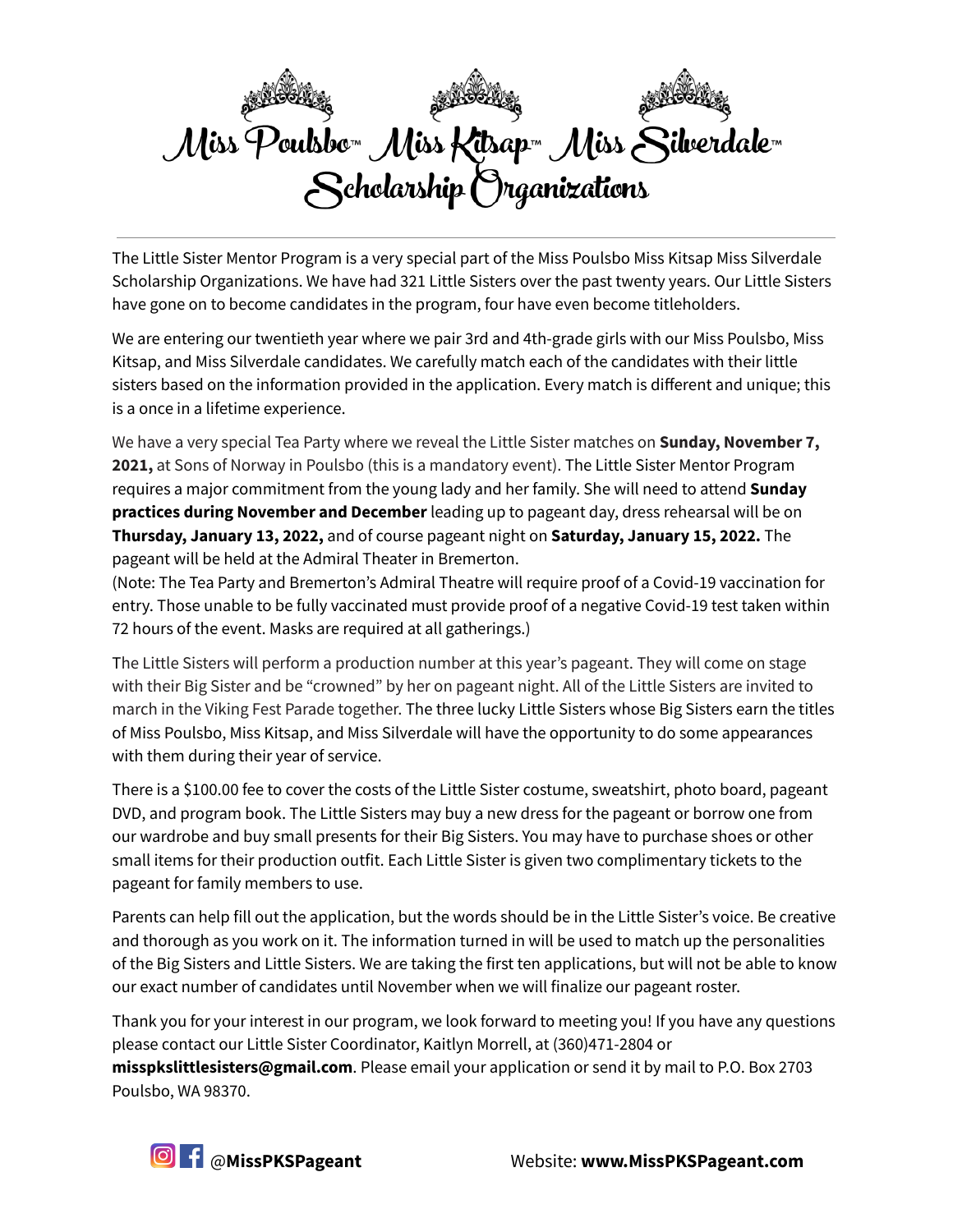

The Little Sister Mentor Program is a very special part of the Miss Poulsbo Miss Kitsap Miss Silverdale Scholarship Organizations. We have had 321 Little Sisters over the past twenty years. Our Little Sisters have gone on to become candidates in the program, four have even become titleholders.

We are entering our twentieth year where we pair 3rd and 4th-grade girls with our Miss Poulsbo, Miss Kitsap, and Miss Silverdale candidates. We carefully match each of the candidates with their little sisters based on the information provided in the application. Every match is different and unique; this is a once in a lifetime experience.

We have a very special Tea Party where we reveal the Little Sister matches on **Sunday, November 7, 2021,** at Sons of Norway in Poulsbo (this is a mandatory event). The Little Sister Mentor Program requires a major commitment from the young lady and her family. She will need to attend **Sunday practices during November and December** leading up to pageant day, dress rehearsal will be on **Thursday, January 13, 2022,** and of course pageant night on **Saturday, January 15, 2022.** The pageant will be held at the Admiral Theater in Bremerton.

(Note: The Tea Party and Bremerton's Admiral Theatre will require proof of a Covid-19 vaccination for entry. Those unable to be fully vaccinated must provide proof of a negative Covid-19 test taken within 72 hours of the event. Masks are required at all gatherings.)

The Little Sisters will perform a production number at this year's pageant. They will come on stage with their Big Sister and be "crowned" by her on pageant night. All of the Little Sisters are invited to march in the Viking Fest Parade together. The three lucky Little Sisters whose Big Sisters earn the titles of Miss Poulsbo, Miss Kitsap, and Miss Silverdale will have the opportunity to do some appearances with them during their year of service.

There is a \$100.00 fee to cover the costs of the Little Sister costume, sweatshirt, photo board, pageant DVD, and program book. The Little Sisters may buy a new dress for the pageant or borrow one from our wardrobe and buy small presents for their Big Sisters. You may have to purchase shoes or other small items for their production outfit. Each Little Sister is given two complimentary tickets to the pageant for family members to use.

Parents can help fill out the application, but the words should be in the Little Sister's voice. Be creative and thorough as you work on it. The information turned in will be used to match up the personalities of the Big Sisters and Little Sisters. We are taking the first ten applications, but will not be able to know our exact number of candidates until November when we will finalize our pageant roster.

Thank you for your interest in our program, we look forward to meeting you! If you have any questions please contact our Little Sister Coordinator, Kaitlyn Morrell, at (360)471-2804 or **misspkslittlesisters@gmail.com**. Please email your application or send it by mail to P.O. Box 2703 Poulsbo, WA 98370.